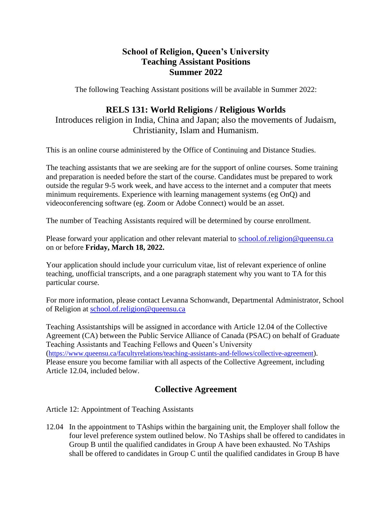### **School of Religion, Queen's University Teaching Assistant Positions Summer 2022**

The following Teaching Assistant positions will be available in Summer 2022:

## **RELS 131: World Religions / Religious Worlds**

Introduces religion in India, China and Japan; also the movements of Judaism, Christianity, Islam and Humanism.

This is an online course administered by the Office of Continuing and Distance Studies.

The teaching assistants that we are seeking are for the support of online courses. Some training and preparation is needed before the start of the course. Candidates must be prepared to work outside the regular 9-5 work week, and have access to the internet and a computer that meets minimum requirements. Experience with learning management systems (eg OnQ) and videoconferencing software (eg. Zoom or Adobe Connect) would be an asset.

The number of Teaching Assistants required will be determined by course enrollment.

Please forward your application and other relevant material to <u>school.of.religion@queensu.ca</u> on or before **Friday, March 18, 2022.**

Your application should include your curriculum vitae, list of relevant experience of online teaching, unofficial transcripts, and a one paragraph statement why you want to TA for this particular course.

For more information, please contact Levanna Schonwandt, Departmental Administrator, School of Religion at [school.of.religion@queensu.ca](mailto:school.of.religion@queensu.ca)

Teaching Assistantships will be assigned in accordance with Article 12.04 of the Collective Agreement (CA) between the Public Service Alliance of Canada (PSAC) on behalf of Graduate Teaching Assistants and Teaching Fellows and Queen's University (<https://www.queensu.ca/facultyrelations/teaching-assistants-and-fellows/collective-agreement>). Please ensure you become familiar with all aspects of the Collective Agreement, including Article 12.04, included below.

# **Collective Agreement**

Article 12: Appointment of Teaching Assistants

12.04 In the appointment to TAships within the bargaining unit, the Employer shall follow the four level preference system outlined below. No TAships shall be offered to candidates in Group B until the qualified candidates in Group A have been exhausted. No TAships shall be offered to candidates in Group C until the qualified candidates in Group B have